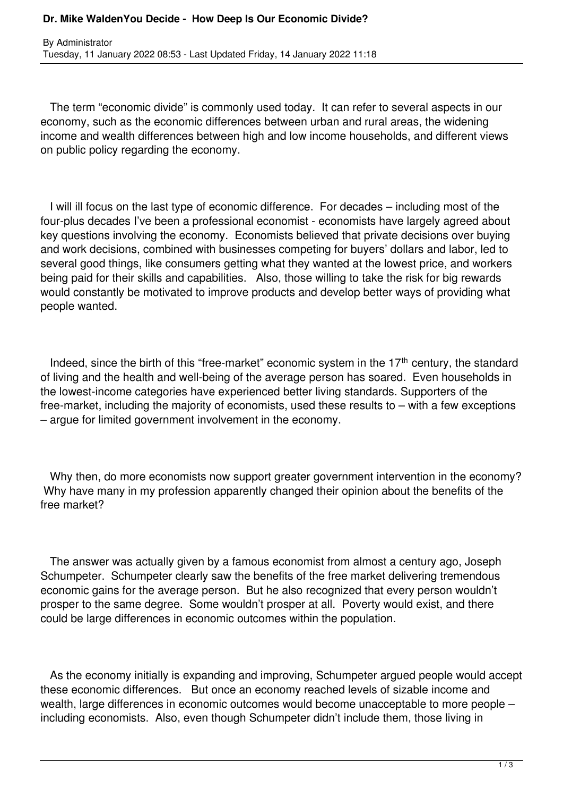## **Dr. Mike WaldenYou Decide - How Deep Is Our Economic Divide?**

 The term "economic divide" is commonly used today. It can refer to several aspects in our economy, such as the economic differences between urban and rural areas, the widening income and wealth differences between high and low income households, and different views on public policy regarding the economy.

 I will ill focus on the last type of economic difference. For decades – including most of the four-plus decades I've been a professional economist - economists have largely agreed about key questions involving the economy. Economists believed that private decisions over buying and work decisions, combined with businesses competing for buyers' dollars and labor, led to several good things, like consumers getting what they wanted at the lowest price, and workers being paid for their skills and capabilities. Also, those willing to take the risk for big rewards would constantly be motivated to improve products and develop better ways of providing what people wanted.

Indeed, since the birth of this "free-market" economic system in the  $17<sup>th</sup>$  century, the standard of living and the health and well-being of the average person has soared. Even households in the lowest-income categories have experienced better living standards. Supporters of the free-market, including the majority of economists, used these results to – with a few exceptions – argue for limited government involvement in the economy.

 Why then, do more economists now support greater government intervention in the economy? Why have many in my profession apparently changed their opinion about the benefits of the free market?

 The answer was actually given by a famous economist from almost a century ago, Joseph Schumpeter. Schumpeter clearly saw the benefits of the free market delivering tremendous economic gains for the average person. But he also recognized that every person wouldn't prosper to the same degree. Some wouldn't prosper at all. Poverty would exist, and there could be large differences in economic outcomes within the population.

 As the economy initially is expanding and improving, Schumpeter argued people would accept these economic differences. But once an economy reached levels of sizable income and wealth, large differences in economic outcomes would become unacceptable to more people – including economists. Also, even though Schumpeter didn't include them, those living in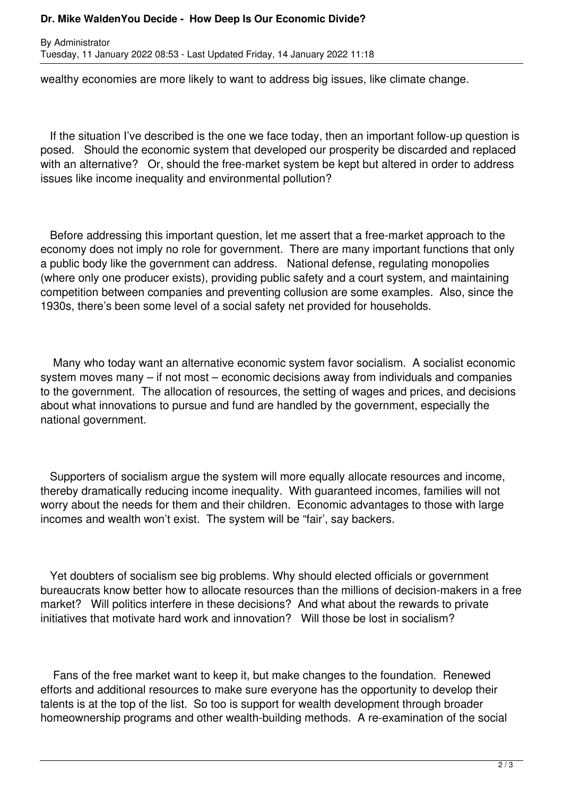## **Dr. Mike WaldenYou Decide - How Deep Is Our Economic Divide?**

By Administrator Tuesday, 11 January 2022 08:53 - Last Updated Friday, 14 January 2022 11:18

wealthy economies are more likely to want to address big issues, like climate change.

 If the situation I've described is the one we face today, then an important follow-up question is posed. Should the economic system that developed our prosperity be discarded and replaced with an alternative? Or, should the free-market system be kept but altered in order to address issues like income inequality and environmental pollution?

 Before addressing this important question, let me assert that a free-market approach to the economy does not imply no role for government. There are many important functions that only a public body like the government can address. National defense, regulating monopolies (where only one producer exists), providing public safety and a court system, and maintaining competition between companies and preventing collusion are some examples. Also, since the 1930s, there's been some level of a social safety net provided for households.

 Many who today want an alternative economic system favor socialism. A socialist economic system moves many – if not most – economic decisions away from individuals and companies to the government. The allocation of resources, the setting of wages and prices, and decisions about what innovations to pursue and fund are handled by the government, especially the national government.

 Supporters of socialism argue the system will more equally allocate resources and income, thereby dramatically reducing income inequality. With guaranteed incomes, families will not worry about the needs for them and their children. Economic advantages to those with large incomes and wealth won't exist. The system will be "fair', say backers.

 Yet doubters of socialism see big problems. Why should elected officials or government bureaucrats know better how to allocate resources than the millions of decision-makers in a free market? Will politics interfere in these decisions? And what about the rewards to private initiatives that motivate hard work and innovation? Will those be lost in socialism?

 Fans of the free market want to keep it, but make changes to the foundation. Renewed efforts and additional resources to make sure everyone has the opportunity to develop their talents is at the top of the list. So too is support for wealth development through broader homeownership programs and other wealth-building methods. A re-examination of the social